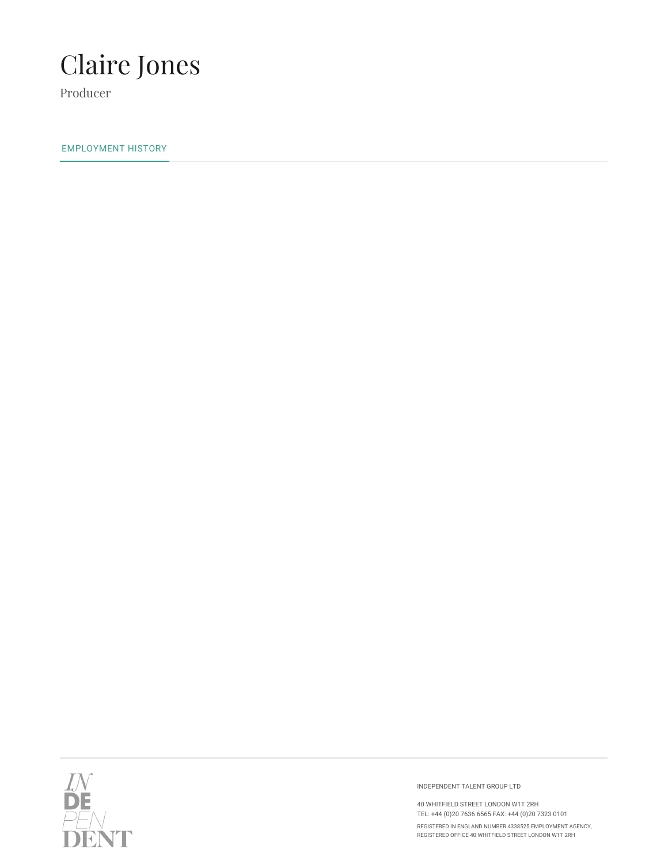

Producer

EMPLOYMENT HISTORY



INDEPENDENT TALENT GROUP LTD

40 WHITFIELD STREET LONDON W1T 2RH TEL: +44 (0)20 7636 6565 FAX: +44 (0)20 7323 0101

REGISTERED IN ENGLAND NUMBER 4338525 EMPLOYMENT AGENCY, REGISTERED OFFICE 40 WHITFIELD STREET LONDON W1T 2RH